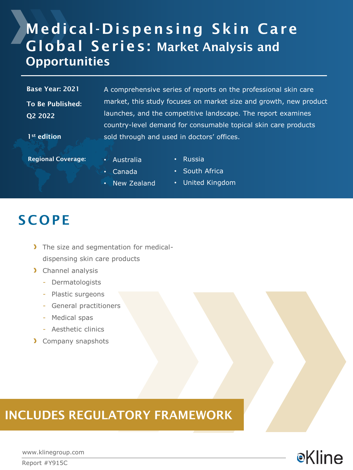# Medical-Dispensing Skin Care Global Series: Market Analysis and **Opportunities**

To Be Published: Q2 2022

1st edition

Base Year: 2021 A comprehensive series of reports on the professional skin care market, this study focuses on market size and growth, new product launches, and the competitive landscape. The report examines country-level demand for consumable topical skin care products sold through and used in doctors' offices.

Regional Coverage: • Australia

- Russia
- Canada
- New Zealand
- South Africa
- United Kingdom

## **SCOPE**

- The size and segmentation for medicaldispensing skin care products
- > Channel analysis
	- Dermatologists
	- Plastic surgeons
	- General practitioners
	- Medical spas
	- Aesthetic clinics
- **Company snapshots**

### INCLUDES REGULATORY FRAMEWORK

**e**Kline

www.klinegroup.com

Report #Y915C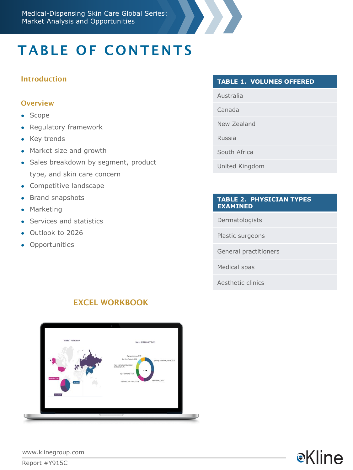# TABLE OF CONTENTS

### Introduction

#### **Overview**

- Scope
- Regulatory framework
- Key trends
- Market size and growth
- Sales breakdown by segment, product type, and skin care concern
- Competitive landscape
- Brand snapshots
- Marketing
- Services and statistics
- Outlook to 2026
- Opportunities

#### **TABLE 1. VOLUMES OFFERED**

- Australia
- Canada
- New Zealand
- Russia
- South Africa
- United Kingdom

#### **TABLE 2. PHYSICIAN TYPES EXAMINED**

**e**Kline

Dermatologists

Plastic surgeons

General practitioners

Medical spas

Aesthetic clinics



### EXCEL WORKBOOK

www.klinegroup.com

Report #Y915C